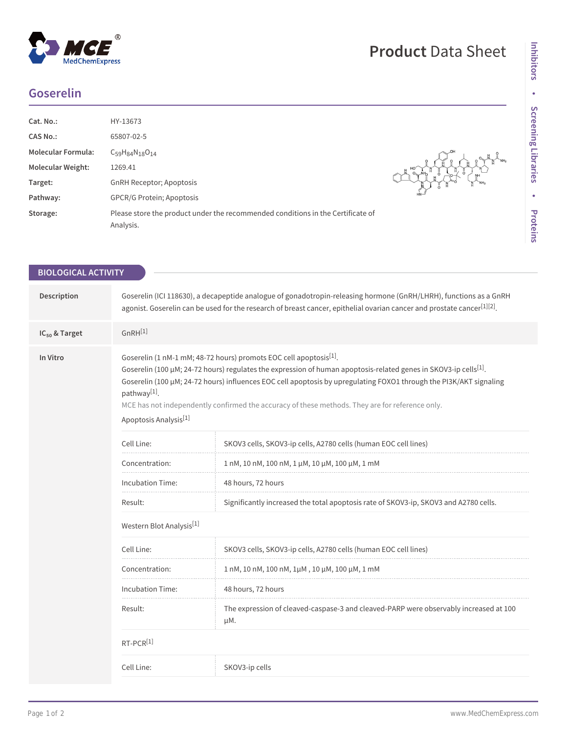## $^\circledR$ MedChemExpress

## **Goserelin**

| Cat. No.:                 | HY-13673                                                                                     |                 |
|---------------------------|----------------------------------------------------------------------------------------------|-----------------|
| <b>CAS No.:</b>           | 65807-02-5                                                                                   |                 |
| <b>Molecular Formula:</b> | $C_{59}H_{84}N_{18}O_{14}$                                                                   |                 |
| <b>Molecular Weight:</b>  | 1269.41                                                                                      |                 |
| Target:                   | <b>GnRH Receptor; Apoptosis</b>                                                              | NH <sub>2</sub> |
| Pathway:                  | <b>GPCR/G Protein; Apoptosis</b>                                                             |                 |
| Storage:                  | Please store the product under the recommended conditions in the Certificate of<br>Analysis. |                 |

| <b>BIOLOGICAL ACTIVITY</b> |                                                                                                                                                                                                                                                                                                                                                                                                                                                                                             |                                                                                              |  |  |
|----------------------------|---------------------------------------------------------------------------------------------------------------------------------------------------------------------------------------------------------------------------------------------------------------------------------------------------------------------------------------------------------------------------------------------------------------------------------------------------------------------------------------------|----------------------------------------------------------------------------------------------|--|--|
|                            |                                                                                                                                                                                                                                                                                                                                                                                                                                                                                             |                                                                                              |  |  |
| Description                | Goserelin (ICI 118630), a decapeptide analogue of gonadotropin-releasing hormone (GnRH/LHRH), functions as a GnRH<br>agonist. Goserelin can be used for the research of breast cancer, epithelial ovarian cancer and prostate cancer <sup>[1][2]</sup> .                                                                                                                                                                                                                                    |                                                                                              |  |  |
| $IC_{50}$ & Target         | $GnRH^{[1]}$                                                                                                                                                                                                                                                                                                                                                                                                                                                                                |                                                                                              |  |  |
| In Vitro                   | Goserelin (1 nM-1 mM; 48-72 hours) promots EOC cell apoptosis <sup>[1]</sup> .<br>Goserelin (100 µM; 24-72 hours) regulates the expression of human apoptosis-related genes in SKOV3-ip cells <sup>[1]</sup> .<br>Goserelin (100 µM; 24-72 hours) influences EOC cell apoptosis by upregulating FOXO1 through the PI3K/AKT signaling<br>pathway[1].<br>MCE has not independently confirmed the accuracy of these methods. They are for reference only.<br>Apoptosis Analysis <sup>[1]</sup> |                                                                                              |  |  |
|                            | Cell Line:                                                                                                                                                                                                                                                                                                                                                                                                                                                                                  | SKOV3 cells, SKOV3-ip cells, A2780 cells (human EOC cell lines)                              |  |  |
|                            | Concentration:                                                                                                                                                                                                                                                                                                                                                                                                                                                                              | 1 nM, 10 nM, 100 nM, 1 μM, 10 μM, 100 μM, 1 mM                                               |  |  |
|                            | Incubation Time:                                                                                                                                                                                                                                                                                                                                                                                                                                                                            | 48 hours, 72 hours                                                                           |  |  |
|                            | Result:                                                                                                                                                                                                                                                                                                                                                                                                                                                                                     | Significantly increased the total apoptosis rate of SKOV3-ip, SKOV3 and A2780 cells.         |  |  |
|                            | Western Blot Analysis <sup>[1]</sup>                                                                                                                                                                                                                                                                                                                                                                                                                                                        |                                                                                              |  |  |
|                            | Cell Line:                                                                                                                                                                                                                                                                                                                                                                                                                                                                                  | SKOV3 cells, SKOV3-ip cells, A2780 cells (human EOC cell lines)                              |  |  |
|                            | Concentration:                                                                                                                                                                                                                                                                                                                                                                                                                                                                              | 1 nM, 10 nM, 100 nM, 1μM, 10 μM, 100 μM, 1 mM                                                |  |  |
|                            | Incubation Time:                                                                                                                                                                                                                                                                                                                                                                                                                                                                            | 48 hours, 72 hours                                                                           |  |  |
|                            | Result:                                                                                                                                                                                                                                                                                                                                                                                                                                                                                     | The expression of cleaved-caspase-3 and cleaved-PARP were observably increased at 100<br>μM. |  |  |
|                            | $RT-PCR^{[1]}$                                                                                                                                                                                                                                                                                                                                                                                                                                                                              |                                                                                              |  |  |
|                            | Cell Line:                                                                                                                                                                                                                                                                                                                                                                                                                                                                                  | SKOV3-ip cells                                                                               |  |  |
|                            |                                                                                                                                                                                                                                                                                                                                                                                                                                                                                             |                                                                                              |  |  |